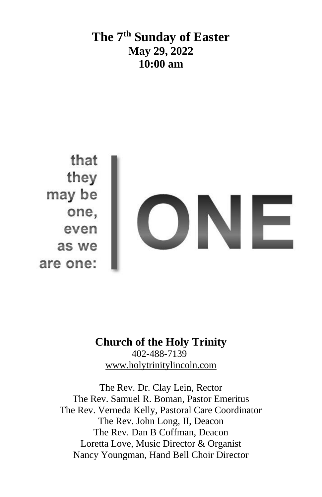## **The 7 th Sunday of Easter May 29, 2022 10:00 am**



### **Church of the Holy Trinity** 402-488-7139 [www.holytrinitylincoln.com](http://www.holytrinitylincoln.com/)

The Rev. Dr. Clay Lein, Rector The Rev. Samuel R. Boman, Pastor Emeritus The Rev. Verneda Kelly, Pastoral Care Coordinator The Rev. John Long, II, Deacon The Rev. Dan B Coffman, Deacon Loretta Love, Music Director & Organist Nancy Youngman, Hand Bell Choir Director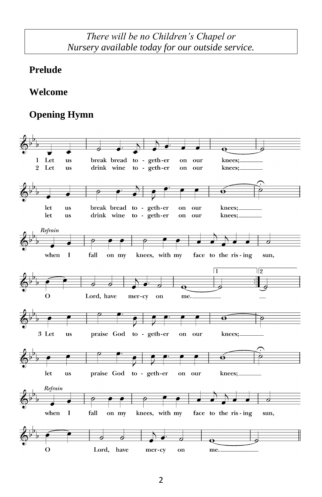### *There will be no Children's Chapel or Nursery available today for our outside service.*

#### **Prelude**

#### **Welcome**

### **Opening Hymn**

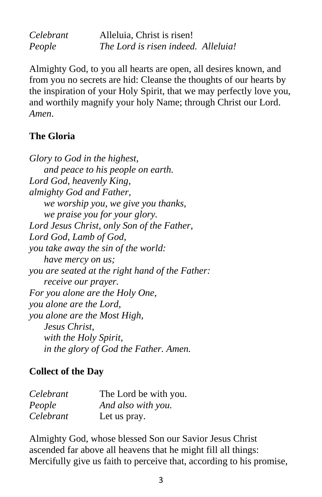| Celebrant | Alleluia, Christ is risen!          |  |
|-----------|-------------------------------------|--|
| People    | The Lord is risen indeed. Alleluia! |  |

Almighty God, to you all hearts are open, all desires known, and from you no secrets are hid: Cleanse the thoughts of our hearts by the inspiration of your Holy Spirit, that we may perfectly love you, and worthily magnify your holy Name; through Christ our Lord. *Amen*.

#### **The Gloria**

*Glory to God in the highest, and peace to his people on earth. Lord God, heavenly King, almighty God and Father, we worship you, we give you thanks, we praise you for your glory. Lord Jesus Christ, only Son of the Father, Lord God, Lamb of God, you take away the sin of the world: have mercy on us; you are seated at the right hand of the Father: receive our prayer. For you alone are the Holy One, you alone are the Lord, you alone are the Most High, Jesus Christ, with the Holy Spirit, in the glory of God the Father. Amen.*

#### **Collect of the Day**

| Celebrant | The Lord be with you. |
|-----------|-----------------------|
| People    | And also with you.    |
| Celebrant | Let us pray.          |

Almighty God, whose blessed Son our Savior Jesus Christ ascended far above all heavens that he might fill all things: Mercifully give us faith to perceive that, according to his promise,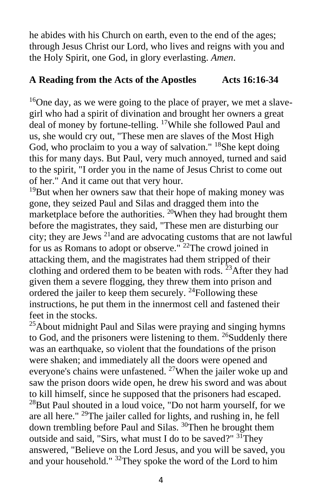he abides with his Church on earth, even to the end of the ages; through Jesus Christ our Lord, who lives and reigns with you and the Holy Spirit, one God, in glory everlasting. *Amen*.

#### **A Reading from the Acts of the Apostles Acts 16:16-34**

 $16$ One day, as we were going to the place of prayer, we met a slavegirl who had a spirit of divination and brought her owners a great deal of money by fortune-telling. <sup>17</sup>While she followed Paul and us, she would cry out, "These men are slaves of the Most High God, who proclaim to you a way of salvation." <sup>18</sup>She kept doing this for many days. But Paul, very much annoyed, turned and said to the spirit, "I order you in the name of Jesus Christ to come out of her." And it came out that very hour.

 $19$ But when her owners saw that their hope of making money was gone, they seized Paul and Silas and dragged them into the marketplace before the authorities.  $^{20}$ When they had brought them before the magistrates, they said, "These men are disturbing our city; they are Jews <sup>21</sup>and are advocating customs that are not lawful for us as Romans to adopt or observe." <sup>22</sup>The crowd joined in attacking them, and the magistrates had them stripped of their clothing and ordered them to be beaten with rods.  $23$ After they had given them a severe flogging, they threw them into prison and ordered the jailer to keep them securely.  $24$ Following these instructions, he put them in the innermost cell and fastened their feet in the stocks.

 $^{25}$ About midnight Paul and Silas were praying and singing hymns to God, and the prisoners were listening to them. <sup>26</sup>Suddenly there was an earthquake, so violent that the foundations of the prison were shaken; and immediately all the doors were opened and everyone's chains were unfastened. <sup>27</sup>When the jailer woke up and saw the prison doors wide open, he drew his sword and was about to kill himself, since he supposed that the prisoners had escaped.  $^{28}$ But Paul shouted in a loud voice, "Do not harm yourself, for we are all here." <sup>29</sup>The jailer called for lights, and rushing in, he fell down trembling before Paul and Silas. <sup>30</sup>Then he brought them outside and said, "Sirs, what must I do to be saved?" <sup>31</sup>They answered, "Believe on the Lord Jesus, and you will be saved, you and your household." <sup>32</sup>They spoke the word of the Lord to him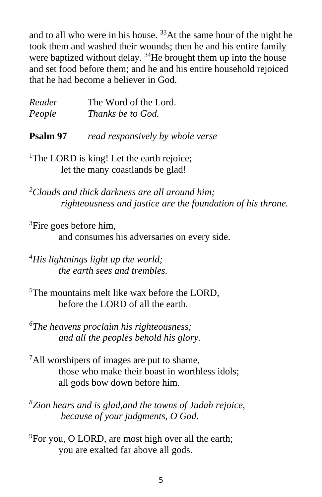and to all who were in his house.  $33$ At the same hour of the night he took them and washed their wounds; then he and his entire family were baptized without delay.  $34$ He brought them up into the house and set food before them; and he and his entire household rejoiced that he had become a believer in God.

| Reader | The Word of the Lord. |
|--------|-----------------------|
| People | Thanks be to God.     |

**Psalm 97** *read responsively by whole verse*

<sup>1</sup>The LORD is king! Let the earth rejoice; let the many coastlands be glad!

*<sup>2</sup>Clouds and thick darkness are all around him; righteousness and justice are the foundation of his throne.*

 ${}^{3}$ Fire goes before him, and consumes his adversaries on every side.

*<sup>4</sup>His lightnings light up the world; the earth sees and trembles.*

<sup>5</sup>The mountains melt like wax before the LORD. before the LORD of all the earth.

*<sup>6</sup>The heavens proclaim his righteousness; and all the peoples behold his glory.*

<sup>7</sup>All worshipers of images are put to shame, those who make their boast in worthless idols; all gods bow down before him.

*<sup>8</sup>Zion hears and is glad,and the towns of Judah rejoice, because of your judgments, O God.*

 $^{9}$ For you, O LORD, are most high over all the earth; you are exalted far above all gods.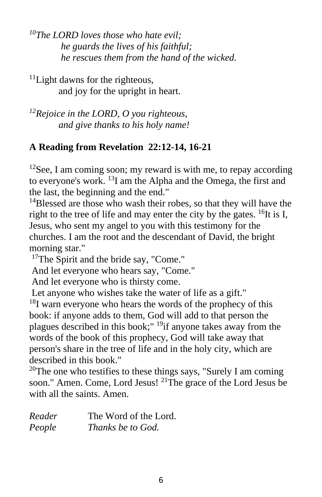*<sup>10</sup>The LORD loves those who hate evil; he guards the lives of his faithful; he rescues them from the hand of the wicked.*

<sup>11</sup>Light dawns for the righteous, and joy for the upright in heart.

*<sup>12</sup>Rejoice in the LORD, O you righteous, and give thanks to his holy name!*

#### **A Reading from Revelation 22:12-14, 16-21**

 $12$ See, I am coming soon; my reward is with me, to repay according to everyone's work. <sup>13</sup>I am the Alpha and the Omega, the first and the last, the beginning and the end."

<sup>14</sup>Blessed are those who wash their robes, so that they will have the right to the tree of life and may enter the city by the gates.  $^{16}$ It is I, Jesus, who sent my angel to you with this testimony for the churches. I am the root and the descendant of David, the bright morning star."

<sup>17</sup>The Spirit and the bride say, "Come."

And let everyone who hears say, "Come."

And let everyone who is thirsty come.

Let anyone who wishes take the water of life as a gift."

 $^{18}$ I warn everyone who hears the words of the prophecy of this book: if anyone adds to them, God will add to that person the plagues described in this book;"  $^{19}$ if anyone takes away from the words of the book of this prophecy, God will take away that person's share in the tree of life and in the holy city, which are described in this book."

<sup>20</sup>The one who testifies to these things says, "Surely I am coming soon." Amen. Come, Lord Jesus! <sup>21</sup>The grace of the Lord Jesus be with all the saints. Amen.

| Reader | The Word of the Lord. |
|--------|-----------------------|
| People | Thanks be to God.     |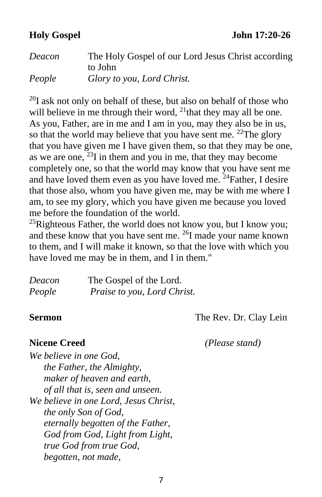**Holy Gospel John 17:20-26**

| Deacon | The Holy Gospel of our Lord Jesus Christ according |
|--------|----------------------------------------------------|
|        | to John                                            |
| People | Glory to you, Lord Christ.                         |

 $^{20}$ I ask not only on behalf of these, but also on behalf of those who will believe in me through their word,  $^{21}$ that they may all be one. As you, Father, are in me and I am in you, may they also be in us, so that the world may believe that you have sent me.  $^{22}$ The glory that you have given me I have given them, so that they may be one, as we are one,  $23I$  in them and you in me, that they may become completely one, so that the world may know that you have sent me and have loved them even as you have loved me.  $^{24}$  Father, I desire that those also, whom you have given me, may be with me where I am, to see my glory, which you have given me because you loved me before the foundation of the world.

 $^{25}$ Righteous Father, the world does not know you, but I know you; and these know that you have sent me. <sup>26</sup>I made your name known to them, and I will make it known, so that the love with which you have loved me may be in them, and I in them."

| Deacon | The Gospel of the Lord.     |
|--------|-----------------------------|
| People | Praise to you, Lord Christ. |

**Sermon** The Rev. Dr. Clay Lein

**Nicene Creed** *(Please stand)*

*We believe in one God, the Father, the Almighty, maker of heaven and earth, of all that is, seen and unseen. We believe in one Lord, Jesus Christ, the only Son of God, eternally begotten of the Father, God from God, Light from Light, true God from true God, begotten, not made,*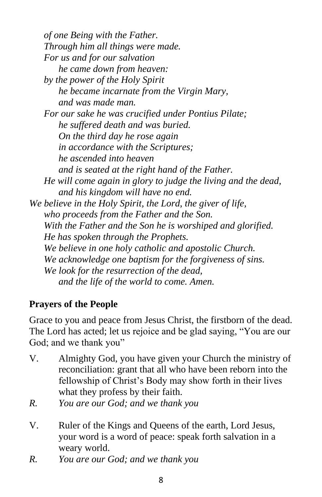*of one Being with the Father. Through him all things were made. For us and for our salvation he came down from heaven: by the power of the Holy Spirit he became incarnate from the Virgin Mary, and was made man. For our sake he was crucified under Pontius Pilate; he suffered death and was buried. On the third day he rose again in accordance with the Scriptures; he ascended into heaven and is seated at the right hand of the Father. He will come again in glory to judge the living and the dead, and his kingdom will have no end. We believe in the Holy Spirit, the Lord, the giver of life, who proceeds from the Father and the Son. With the Father and the Son he is worshiped and glorified. He has spoken through the Prophets. We believe in one holy catholic and apostolic Church. We acknowledge one baptism for the forgiveness of sins. We look for the resurrection of the dead, and the life of the world to come. Amen.*

### **Prayers of the People**

Grace to you and peace from Jesus Christ, the firstborn of the dead. The Lord has acted; let us rejoice and be glad saying, "You are our God; and we thank you"

- V. Almighty God, you have given your Church the ministry of reconciliation: grant that all who have been reborn into the fellowship of Christ's Body may show forth in their lives what they profess by their faith.
- *R. You are our God; and we thank you*
- V. Ruler of the Kings and Queens of the earth, Lord Jesus, your word is a word of peace: speak forth salvation in a weary world.
- *R. You are our God; and we thank you*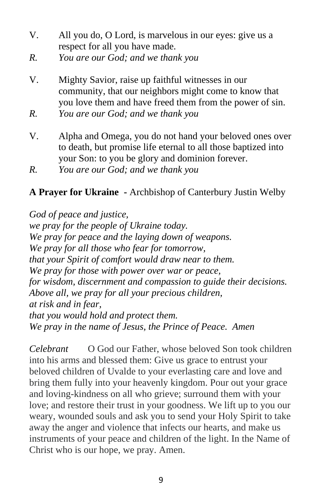- V. All you do, O Lord, is marvelous in our eyes: give us a respect for all you have made.
- *R. You are our God; and we thank you*
- V. Mighty Savior, raise up faithful witnesses in our community, that our neighbors might come to know that you love them and have freed them from the power of sin.
- *R. You are our God; and we thank you*
- V. Alpha and Omega, you do not hand your beloved ones over to death, but promise life eternal to all those baptized into your Son: to you be glory and dominion forever.

#### **A Prayer for Ukraine -** Archbishop of Canterbury Justin Welby

*God of peace and justice, we pray for the people of Ukraine today. We pray for peace and the laying down of weapons. We pray for all those who fear for tomorrow, that your Spirit of comfort would draw near to them. We pray for those with power over war or peace, for wisdom, discernment and compassion to guide their decisions. Above all, we pray for all your precious children, at risk and in fear, that you would hold and protect them. We pray in the name of Jesus, the Prince of Peace. Amen*

*Celebrant* O God our Father, whose beloved Son took children into his arms and blessed them: Give us grace to entrust your beloved children of Uvalde to your everlasting care and love and bring them fully into your heavenly kingdom. Pour out your grace and loving-kindness on all who grieve; surround them with your love; and restore their trust in your goodness. We lift up to you our weary, wounded souls and ask you to send your Holy Spirit to take away the anger and violence that infects our hearts, and make us instruments of your peace and children of the light. In the Name of Christ who is our hope, we pray. Amen.

*R. You are our God; and we thank you*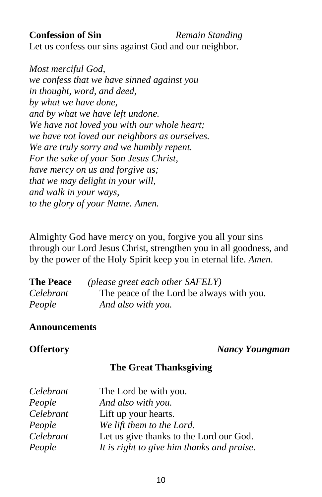#### **Confession of Sin** Remain Standing

Let us confess our sins against God and our neighbor.

*Most merciful God, we confess that we have sinned against you in thought, word, and deed, by what we have done, and by what we have left undone. We have not loved you with our whole heart; we have not loved our neighbors as ourselves. We are truly sorry and we humbly repent. For the sake of your Son Jesus Christ, have mercy on us and forgive us; that we may delight in your will, and walk in your ways, to the glory of your Name. Amen.*

Almighty God have mercy on you, forgive you all your sins through our Lord Jesus Christ, strengthen you in all goodness, and by the power of the Holy Spirit keep you in eternal life. *Amen*.

| <b>The Peace</b> | (please greet each other SAFELY)          |
|------------------|-------------------------------------------|
| Celebrant        | The peace of the Lord be always with you. |
| People           | And also with you.                        |

#### **Announcements**

**Offertory** *Nancy Youngman*

#### **The Great Thanksgiving**

| Celebrant | The Lord be with you.                      |
|-----------|--------------------------------------------|
| People    | And also with you.                         |
| Celebrant | Lift up your hearts.                       |
| People    | We lift them to the Lord.                  |
| Celebrant | Let us give thanks to the Lord our God.    |
| People    | It is right to give him thanks and praise. |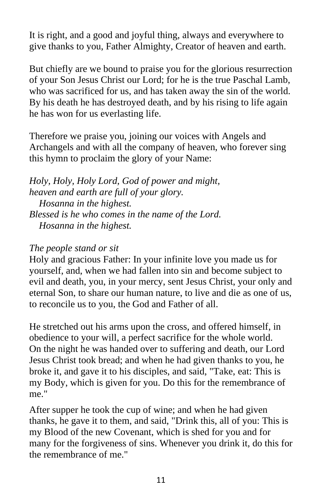It is right, and a good and joyful thing, always and everywhere to give thanks to you, Father Almighty, Creator of heaven and earth.

But chiefly are we bound to praise you for the glorious resurrection of your Son Jesus Christ our Lord; for he is the true Paschal Lamb, who was sacrificed for us, and has taken away the sin of the world. By his death he has destroyed death, and by his rising to life again he has won for us everlasting life.

Therefore we praise you, joining our voices with Angels and Archangels and with all the company of heaven, who forever sing this hymn to proclaim the glory of your Name:

*Holy, Holy, Holy Lord, God of power and might, heaven and earth are full of your glory. Hosanna in the highest. Blessed is he who comes in the name of the Lord. Hosanna in the highest.*

#### *The people stand or sit*

Holy and gracious Father: In your infinite love you made us for yourself, and, when we had fallen into sin and become subject to evil and death, you, in your mercy, sent Jesus Christ, your only and eternal Son, to share our human nature, to live and die as one of us, to reconcile us to you, the God and Father of all.

He stretched out his arms upon the cross, and offered himself, in obedience to your will, a perfect sacrifice for the whole world. On the night he was handed over to suffering and death, our Lord Jesus Christ took bread; and when he had given thanks to you, he broke it, and gave it to his disciples, and said, "Take, eat: This is my Body, which is given for you. Do this for the remembrance of me."

After supper he took the cup of wine; and when he had given thanks, he gave it to them, and said, "Drink this, all of you: This is my Blood of the new Covenant, which is shed for you and for many for the forgiveness of sins. Whenever you drink it, do this for the remembrance of me."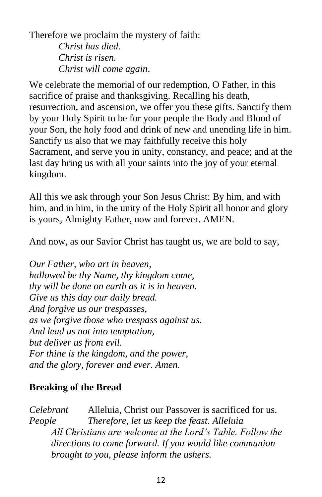Therefore we proclaim the mystery of faith: *Christ has died. Christ is risen. Christ will come again*.

We celebrate the memorial of our redemption, O Father, in this sacrifice of praise and thanksgiving. Recalling his death, resurrection, and ascension, we offer you these gifts. Sanctify them by your Holy Spirit to be for your people the Body and Blood of your Son, the holy food and drink of new and unending life in him. Sanctify us also that we may faithfully receive this holy Sacrament, and serve you in unity, constancy, and peace; and at the last day bring us with all your saints into the joy of your eternal kingdom.

All this we ask through your Son Jesus Christ: By him, and with him, and in him, in the unity of the Holy Spirit all honor and glory is yours, Almighty Father, now and forever. AMEN.

And now, as our Savior Christ has taught us, we are bold to say,

*Our Father, who art in heaven, hallowed be thy Name, thy kingdom come, thy will be done on earth as it is in heaven. Give us this day our daily bread. And forgive us our trespasses, as we forgive those who trespass against us. And lead us not into temptation, but deliver us from evil. For thine is the kingdom, and the power, and the glory, forever and ever. Amen.*

#### **Breaking of the Bread**

*Celebrant* Alleluia, Christ our Passover is sacrificed for us. *People Therefore, let us keep the feast. Alleluia All Christians are welcome at the Lord's Table. Follow the directions to come forward. If you would like communion brought to you, please inform the ushers.*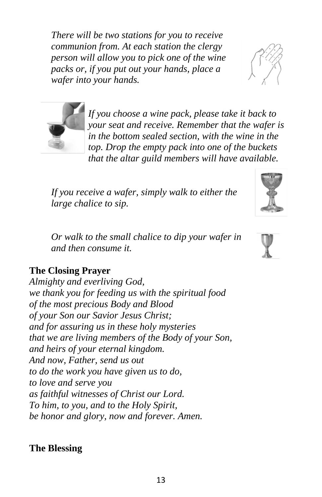*There will be two stations for you to receive communion from. At each station the clergy person will allow you to pick one of the wine packs or, if you put out your hands, place a wafer into your hands.* 



*If you receive a wafer, simply walk to either the large chalice to sip.* 

*Or walk to the small chalice to dip your wafer in and then consume it.* 

#### **The Closing Prayer**

*Almighty and everliving God, we thank you for feeding us with the spiritual food of the most precious Body and Blood of your Son our Savior Jesus Christ; and for assuring us in these holy mysteries that we are living members of the Body of your Son, and heirs of your eternal kingdom. And now, Father, send us out to do the work you have given us to do, to love and serve you as faithful witnesses of Christ our Lord. To him, to you, and to the Holy Spirit, be honor and glory, now and forever. Amen.*

#### **The Blessing**



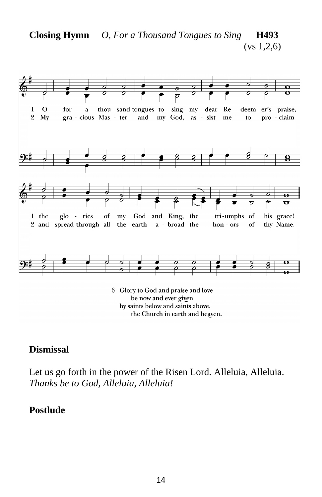

**Closing Hymn** *O, For a Thousand Tongues to Sing* **H493**

be now and ever given by saints below and saints above, the Church in earth and heaven.

### **Dismissal**

Let us go forth in the power of the Risen Lord. Alleluia, Alleluia. *Thanks be to God, Alleluia, Alleluia!*

#### **Postlude**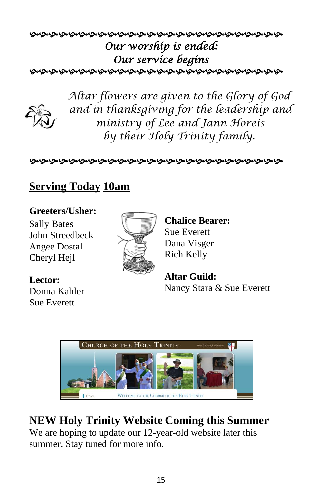## *Our worship is ended: Our service begins*  **დადადადადადადადადადადადადადად**



*Altar flowers are given to the Glory of God and in thanksgiving for the leadership and ministry of Lee and Jann Horeis by their Holy Trinity family.*

დადადადადადადადადადადადადადად

## **Serving Today 10am**

### **Greeters/Usher:**

Sally Bates John Streedbeck Angee Dostal Cheryl Hejl



**Chalice Bearer:** Sue Everett Dana Visger Rich Kelly

**Lector:** Donna Kahler Sue Everett

**Altar Guild:**  Nancy Stara & Sue Everett



## **NEW Holy Trinity Website Coming this Summer**

We are hoping to update our 12-year-old website later this summer. Stay tuned for more info.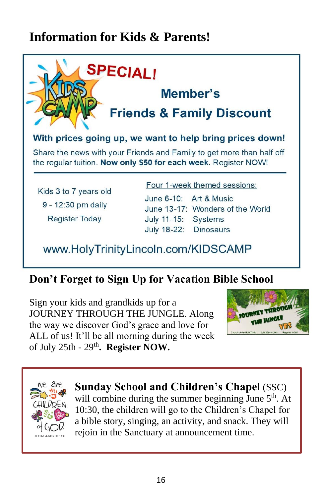# **Information for Kids & Parents!**



## **Don't Forget to Sign Up for Vacation Bible School**

Sign your kids and grandkids up for a JOURNEY THROUGH THE JUNGLE. Along the way we discover God's grace and love for ALL of us! It'll be all morning during the week of July 25th - 29th**. Register NOW.**





**Sunday School and Children's Chapel** (SSC) will combine during the summer beginning June  $5<sup>th</sup>$ . At 10:30, the children will go to the Children's Chapel for a bible story, singing, an activity, and snack. They will rejoin in the Sanctuary at announcement time.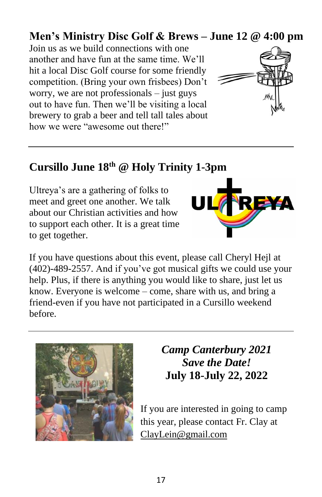## **Men's Ministry Disc Golf & Brews – June 12 @ 4:00 pm**

Join us as we build connections with one another and have fun at the same time. We'll hit a local Disc Golf course for some friendly competition. (Bring your own frisbees) Don't worry, we are not professionals – just guys out to have fun. Then we'll be visiting a local brewery to grab a beer and tell tall tales about how we were "awesome out there!"



## **Cursillo June 18th @ Holy Trinity 1-3pm**

Ultreya's are a gathering of folks to meet and greet one another. We talk about our Christian activities and how to support each other. It is a great time to get together.



If you have questions about this event, please call Cheryl Hejl at (402)-489-2557. And if you've got musical gifts we could use your help. Plus, if there is anything you would like to share, just let us know. Everyone is welcome – come, share with us, and bring a friend-even if you have not participated in a Cursillo weekend before.



## *Camp Canterbury 2021 Save the Date!* **July 18-July 22, 2022**

If you are interested in going to camp this year, please contact Fr. Clay at [ClayLein@gmail.com](mailto:ClayLein@gmail.com)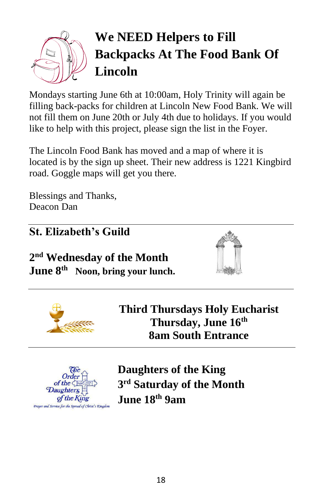

# **We NEED Helpers to Fill Backpacks At The Food Bank Of Lincoln**

Mondays starting June 6th at 10:00am, Holy Trinity will again be filling back-packs for children at Lincoln New Food Bank. We will not fill them on June 20th or July 4th due to holidays. If you would like to help with this project, please sign the list in the Foyer.

The Lincoln Food Bank has moved and a map of where it is located is by the sign up sheet. Their new address is 1221 Kingbird road. Goggle maps will get you there.

Blessings and Thanks, Deacon Dan

## **St. Elizabeth's Guild**

**2 nd Wednesday of the Month June 8th Noon, bring your lunch.** 





**Third Thursdays Holy Eucharist Thursday, June 16th 8am South Entrance**



**Daughters of the King 3 rd Saturday of the Month June 18th 9am**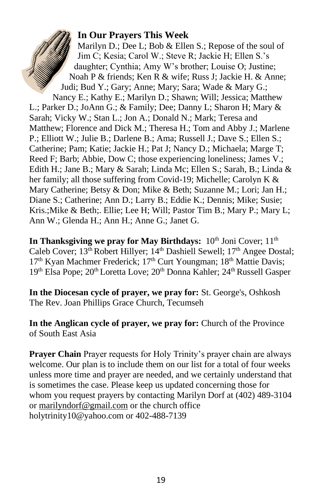#### **In Our Prayers This Week**

Marilyn D.; Dee L; Bob & Ellen S.; Repose of the soul of Jim C; Kesia; Carol W.; Steve R; Jackie H; Ellen S.'s daughter; Cynthia; Amy W's brother; Louise O; Justine; Noah P & friends; Ken R & wife; Russ J; Jackie H. & Anne; Judi; Bud Y.; Gary; Anne; Mary; Sara; Wade & Mary G.; Nancy E.; Kathy E.; Marilyn D.; Shawn; Will; Jessica; Matthew L.; Parker D.; JoAnn G.; & Family; Dee; Danny L; Sharon H; Mary &

Sarah; Vicky W.; Stan L.; Jon A.; Donald N.; Mark; Teresa and Matthew; Florence and Dick M.; Theresa H.; Tom and Abby J.; Marlene P.; Elliott W.; Julie B.; Darlene B.; Ama; Russell J.; Dave S.; Ellen S.; Catherine; Pam; Katie; Jackie H.; Pat J; Nancy D.; Michaela; Marge T; Reed F; Barb; Abbie, Dow C; those experiencing loneliness; James V.; Edith H.; Jane B.; Mary & Sarah; Linda Mc; Ellen S.; Sarah, B.; Linda & her family; all those suffering from Covid-19; Michelle; Carolyn K & Mary Catherine; Betsy & Don; Mike & Beth; Suzanne M.; Lori; Jan H.; Diane S.; Catherine; Ann D.; Larry B.; Eddie K.; Dennis; Mike; Susie; Kris.;Mike & Beth;. Ellie; Lee H; Will; Pastor Tim B.; Mary P.; Mary L; Ann W.; Glenda H.; Ann H.; Anne G.; Janet G.

**In Thanksgiving we pray for May Birthdays:**  $10^{th}$  Joni Cover;  $11^{th}$ Caleb Cover;  $13<sup>th</sup>$  Robert Hillyer;  $14<sup>th</sup>$  Dashiell Sewell;  $17<sup>th</sup>$  Angee Dostal; 17<sup>th</sup> Kyan Machmer Frederick; 17<sup>th</sup> Curt Youngman; 18<sup>th</sup> Mattie Davis; 19<sup>th</sup> Elsa Pope; 20<sup>th</sup> Loretta Love; 20<sup>th</sup> Donna Kahler; 24<sup>th</sup> Russell Gasper

**In the Diocesan cycle of prayer, we pray for:** St. George's, Oshkosh The Rev. Joan Phillips Grace Church, Tecumseh

**In the Anglican cycle of prayer, we pray for:** Church of the Province of South East Asia

**Prayer Chain** Prayer requests for Holy Trinity's prayer chain are always welcome. Our plan is to include them on our list for a total of four weeks unless more time and prayer are needed, and we certainly understand that is sometimes the case. Please keep us updated concerning those for whom you request prayers by contacting Marilyn Dorf at (402) 489-3104 or [marilyndorf@gmail.com](mailto:marilyndorf@gmail.com) or the church office holytrinity10@yahoo.com or 402-488-7139